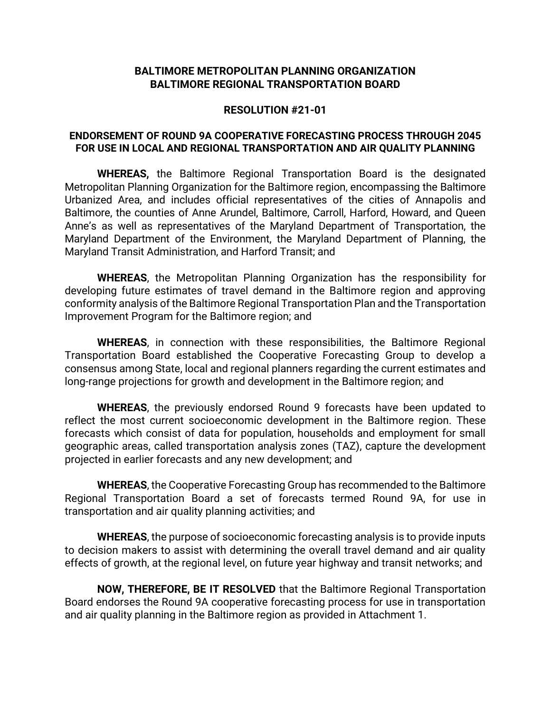#### **BALTIMORE METROPOLITAN PLANNING ORGANIZATION BALTIMORE REGIONAL TRANSPORTATION BOARD**

#### **RESOLUTION #21-01**

#### **ENDORSEMENT OF ROUND 9A COOPERATIVE FORECASTING PROCESS THROUGH 2045 FOR USE IN LOCAL AND REGIONAL TRANSPORTATION AND AIR QUALITY PLANNING**

**WHEREAS,** the Baltimore Regional Transportation Board is the designated Metropolitan Planning Organization for the Baltimore region, encompassing the Baltimore Urbanized Area, and includes official representatives of the cities of Annapolis and Baltimore, the counties of Anne Arundel, Baltimore, Carroll, Harford, Howard, and Queen Anne's as well as representatives of the Maryland Department of Transportation, the Maryland Department of the Environment, the Maryland Department of Planning, the Maryland Transit Administration, and Harford Transit; and

**WHEREAS**, the Metropolitan Planning Organization has the responsibility for developing future estimates of travel demand in the Baltimore region and approving conformity analysis of the Baltimore Regional Transportation Plan and the Transportation Improvement Program for the Baltimore region; and

**WHEREAS**, in connection with these responsibilities, the Baltimore Regional Transportation Board established the Cooperative Forecasting Group to develop a consensus among State, local and regional planners regarding the current estimates and long-range projections for growth and development in the Baltimore region; and

**WHEREAS**, the previously endorsed Round 9 forecasts have been updated to reflect the most current socioeconomic development in the Baltimore region. These forecasts which consist of data for population, households and employment for small geographic areas, called transportation analysis zones (TAZ), capture the development projected in earlier forecasts and any new development; and

**WHEREAS**, the Cooperative Forecasting Group has recommended to the Baltimore Regional Transportation Board a set of forecasts termed Round 9A, for use in transportation and air quality planning activities; and

**WHEREAS**, the purpose of socioeconomic forecasting analysis is to provide inputs to decision makers to assist with determining the overall travel demand and air quality effects of growth, at the regional level, on future year highway and transit networks; and

**NOW, THEREFORE, BE IT RESOLVED** that the Baltimore Regional Transportation Board endorses the Round 9A cooperative forecasting process for use in transportation and air quality planning in the Baltimore region as provided in Attachment 1.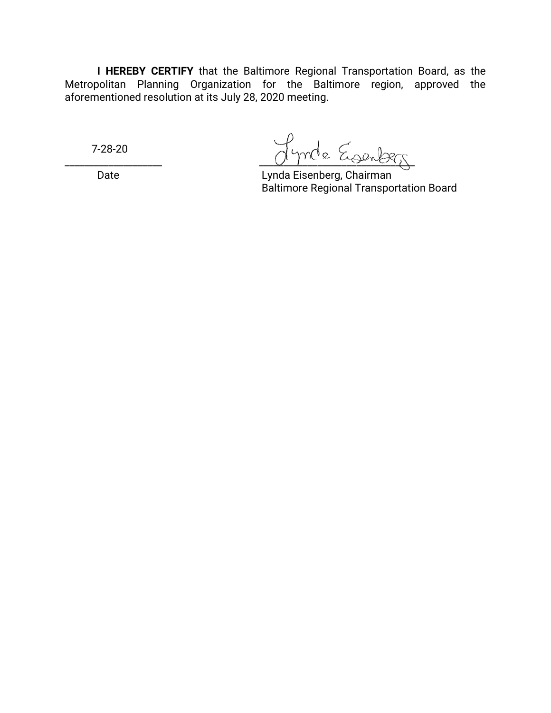**I HEREBY CERTIFY** that the Baltimore Regional Transportation Board, as the Metropolitan Planning Organization for the Baltimore region, approved the aforementioned resolution at its July 28, 2020 meeting.

7-28-20

Lynde Eisenberg

Date Lynda Eisenberg, Chairman Baltimore Regional Transportation Board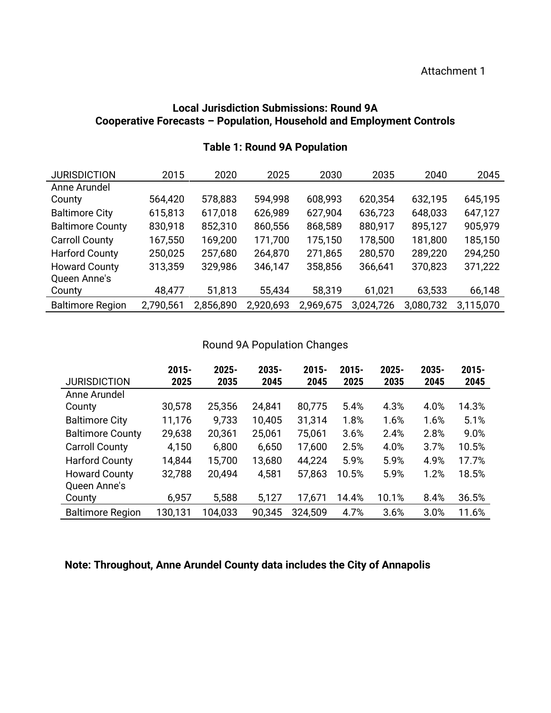### **Local Jurisdiction Submissions: Round 9A Cooperative Forecasts – Population, Household and Employment Controls**

| <b>JURISDICTION</b>     | 2015      | 2020      | 2025      | 2030      | 2035      | 2040      | 2045      |
|-------------------------|-----------|-----------|-----------|-----------|-----------|-----------|-----------|
| Anne Arundel            |           |           |           |           |           |           |           |
| County                  | 564,420   | 578,883   | 594,998   | 608,993   | 620,354   | 632,195   | 645,195   |
| <b>Baltimore City</b>   | 615,813   | 617,018   | 626,989   | 627,904   | 636,723   | 648,033   | 647,127   |
| <b>Baltimore County</b> | 830,918   | 852,310   | 860,556   | 868,589   | 880,917   | 895,127   | 905,979   |
| <b>Carroll County</b>   | 167,550   | 169,200   | 171,700   | 175,150   | 178,500   | 181,800   | 185,150   |
| <b>Harford County</b>   | 250,025   | 257,680   | 264,870   | 271,865   | 280,570   | 289,220   | 294,250   |
| <b>Howard County</b>    | 313,359   | 329,986   | 346,147   | 358,856   | 366,641   | 370,823   | 371,222   |
| Queen Anne's            |           |           |           |           |           |           |           |
| County                  | 48,477    | 51,813    | 55,434    | 58,319    | 61,021    | 63,533    | 66,148    |
| <b>Baltimore Region</b> | 2,790,561 | 2,856,890 | 2,920,693 | 2,969,675 | 3,024,726 | 3,080,732 | 3,115,070 |

### **Table 1: Round 9A Population**

### Round 9A Population Changes

|                         | $2015 -$ | $2025 -$ | 2035-  | $2015 -$ | $2015 -$ | 2025- | 2035- | $2015 -$ |
|-------------------------|----------|----------|--------|----------|----------|-------|-------|----------|
| <b>JURISDICTION</b>     | 2025     | 2035     | 2045   | 2045     | 2025     | 2035  | 2045  | 2045     |
| Anne Arundel            |          |          |        |          |          |       |       |          |
| County                  | 30,578   | 25,356   | 24,841 | 80,775   | 5.4%     | 4.3%  | 4.0%  | 14.3%    |
| <b>Baltimore City</b>   | 11,176   | 9,733    | 10,405 | 31,314   | 1.8%     | 1.6%  | 1.6%  | 5.1%     |
| <b>Baltimore County</b> | 29,638   | 20,361   | 25,061 | 75,061   | 3.6%     | 2.4%  | 2.8%  | 9.0%     |
| <b>Carroll County</b>   | 4,150    | 6,800    | 6,650  | 17,600   | 2.5%     | 4.0%  | 3.7%  | 10.5%    |
| <b>Harford County</b>   | 14,844   | 15,700   | 13,680 | 44,224   | 5.9%     | 5.9%  | 4.9%  | 17.7%    |
| <b>Howard County</b>    | 32,788   | 20,494   | 4,581  | 57,863   | 10.5%    | 5.9%  | 1.2%  | 18.5%    |
| Queen Anne's            |          |          |        |          |          |       |       |          |
| County                  | 6,957    | 5,588    | 5,127  | 17,671   | 14.4%    | 10.1% | 8.4%  | 36.5%    |
| <b>Baltimore Region</b> | 130,131  | 104,033  | 90,345 | 324,509  | 4.7%     | 3.6%  | 3.0%  | 11.6%    |

### **Note: Throughout, Anne Arundel County data includes the City of Annapolis**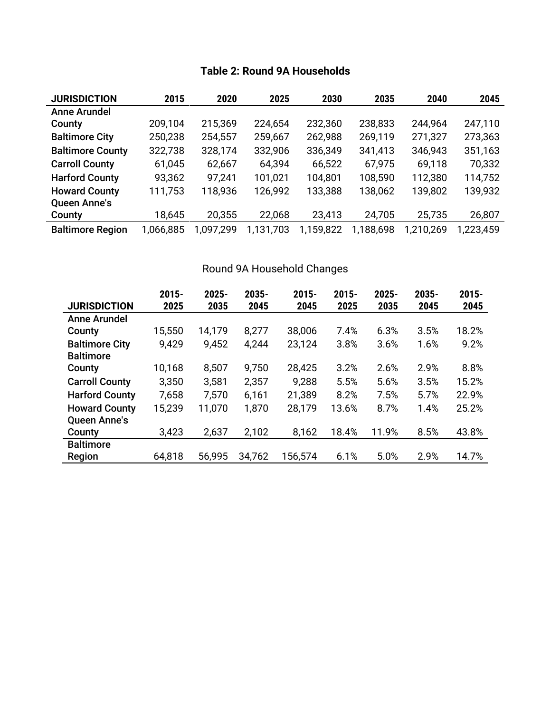| <b>JURISDICTION</b>     | 2015      | 2020      | 2025      | 2030      | 2035      | 2040      | 2045      |
|-------------------------|-----------|-----------|-----------|-----------|-----------|-----------|-----------|
| <b>Anne Arundel</b>     |           |           |           |           |           |           |           |
| County                  | 209,104   | 215,369   | 224,654   | 232,360   | 238,833   | 244,964   | 247,110   |
| <b>Baltimore City</b>   | 250,238   | 254,557   | 259,667   | 262,988   | 269,119   | 271,327   | 273,363   |
| <b>Baltimore County</b> | 322,738   | 328,174   | 332,906   | 336,349   | 341,413   | 346,943   | 351,163   |
| <b>Carroll County</b>   | 61,045    | 62,667    | 64,394    | 66,522    | 67,975    | 69,118    | 70,332    |
| <b>Harford County</b>   | 93,362    | 97,241    | 101,021   | 104,801   | 108,590   | 112,380   | 114,752   |
| <b>Howard County</b>    | 111,753   | 118,936   | 126,992   | 133,388   | 138,062   | 139,802   | 139,932   |
| <b>Queen Anne's</b>     |           |           |           |           |           |           |           |
| County                  | 18,645    | 20,355    | 22,068    | 23,413    | 24,705    | 25,735    | 26,807    |
| <b>Baltimore Region</b> | 1,066,885 | 1,097,299 | 1,131,703 | 1,159,822 | 1,188,698 | 1,210,269 | 1,223,459 |

## **Table 2: Round 9A Households**

## Round 9A Household Changes

|                       | $2015 -$ | 2025-  | 2035-  | $2015 -$ | $2015 -$ | 2025- | 2035- | $2015 -$ |
|-----------------------|----------|--------|--------|----------|----------|-------|-------|----------|
| <b>JURISDICTION</b>   | 2025     | 2035   | 2045   | 2045     | 2025     | 2035  | 2045  | 2045     |
| Anne Arundel          |          |        |        |          |          |       |       |          |
| County                | 15,550   | 14,179 | 8,277  | 38,006   | 7.4%     | 6.3%  | 3.5%  | 18.2%    |
| <b>Baltimore City</b> | 9,429    | 9,452  | 4,244  | 23,124   | 3.8%     | 3.6%  | 1.6%  | 9.2%     |
| <b>Baltimore</b>      |          |        |        |          |          |       |       |          |
| County                | 10,168   | 8,507  | 9,750  | 28,425   | 3.2%     | 2.6%  | 2.9%  | 8.8%     |
| <b>Carroll County</b> | 3,350    | 3,581  | 2,357  | 9,288    | 5.5%     | 5.6%  | 3.5%  | 15.2%    |
| <b>Harford County</b> | 7,658    | 7,570  | 6,161  | 21,389   | 8.2%     | 7.5%  | 5.7%  | 22.9%    |
| <b>Howard County</b>  | 15,239   | 11,070 | 1,870  | 28,179   | 13.6%    | 8.7%  | 1.4%  | 25.2%    |
| <b>Queen Anne's</b>   |          |        |        |          |          |       |       |          |
| County                | 3,423    | 2,637  | 2,102  | 8,162    | 18.4%    | 11.9% | 8.5%  | 43.8%    |
| <b>Baltimore</b>      |          |        |        |          |          |       |       |          |
| Region                | 64,818   | 56,995 | 34,762 | 156,574  | 6.1%     | 5.0%  | 2.9%  | 14.7%    |